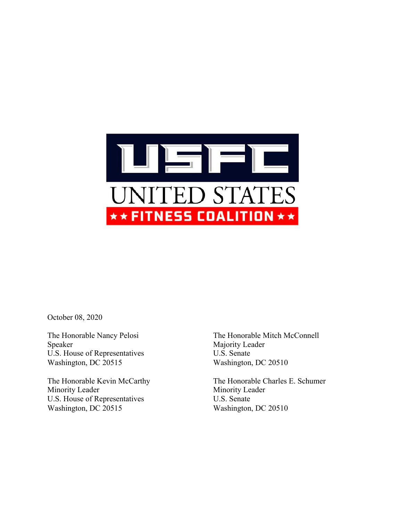

October 08, 2020

Speaker Majority Leader U.S. House of Representatives U.S. Senate Washington, DC 20515 Washington, DC 20510

Minority Leader Minority Leader U.S. House of Representatives U.S. Senate Washington, DC 20515 Washington, DC 20510

The Honorable Nancy Pelosi The Honorable Mitch McConnell

The Honorable Kevin McCarthy The Honorable Charles E. Schumer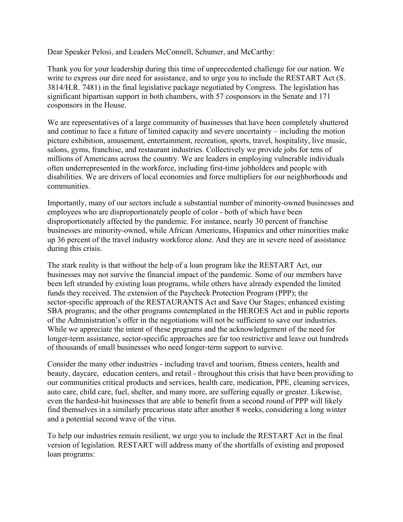Dear Speaker Pelosi, and Leaders McConnell, Schumer, and McCarthy:

Thank you for your leadership during this time of unprecedented challenge for our nation. We write to express our dire need for assistance, and to urge you to include the RESTART Act (S. 3814/H.R. 7481) in the final legislative package negotiated by Congress. The legislation has significant bipartisan support in both chambers, with 57 cosponsors in the Senate and 171 cosponsors in the House.

We are representatives of a large community of businesses that have been completely shuttered and continue to face a future of limited capacity and severe uncertainty – including the motion picture exhibition, amusement, entertainment, recreation, sports, travel, hospitality, live music, salons, gyms, franchise, and restaurant industries. Collectively we provide jobs for tens of millions of Americans across the country. We are leaders in employing vulnerable individuals often underrepresented in the workforce, including first-time jobholders and people with disabilities. We are drivers of local economies and force multipliers for our neighborhoods and communities.

Importantly, many of our sectors include a substantial number of minority-owned businesses and employees who are disproportionately people of color - both of which have been disproportionately affected by the pandemic. For instance, nearly 30 percent of franchise businesses are minority-owned, while African Americans, Hispanics and other minorities make up 36 percent of the travel industry workforce alone. And they are in severe need of assistance during this crisis.

The stark reality is that without the help of a loan program like the RESTART Act, our businesses may not survive the financial impact of the pandemic. Some of our members have been left stranded by existing loan programs, while others have already expended the limited funds they received. The extension of the Paycheck Protection Program (PPP); the sector-specific approach of the RESTAURANTS Act and Save Our Stages; enhanced existing SBA programs; and the other programs contemplated in the HEROES Act and in public reports of the Administration's offer in the negotiations will not be sufficient to save our industries. While we appreciate the intent of these programs and the acknowledgement of the need for longer-term assistance, sector-specific approaches are far too restrictive and leave out hundreds of thousands of small businesses who need longer-term support to survive.

Consider the many other industries - including travel and tourism, fitness centers, health and beauty, daycare, education centers, and retail - throughout this crisis that have been providing to our communities critical products and services, health care, medication, PPE, cleaning services, auto care, child care, fuel, shelter, and many more, are suffering equally or greater. Likewise, even the hardest-hit businesses that are able to benefit from a second round of PPP will likely find themselves in a similarly precarious state after another 8 weeks, considering a long winter and a potential second wave of the virus.

To help our industries remain resilient, we urge you to include the RESTART Act in the final version of legislation. RESTART will address many of the shortfalls of existing and proposed loan programs: